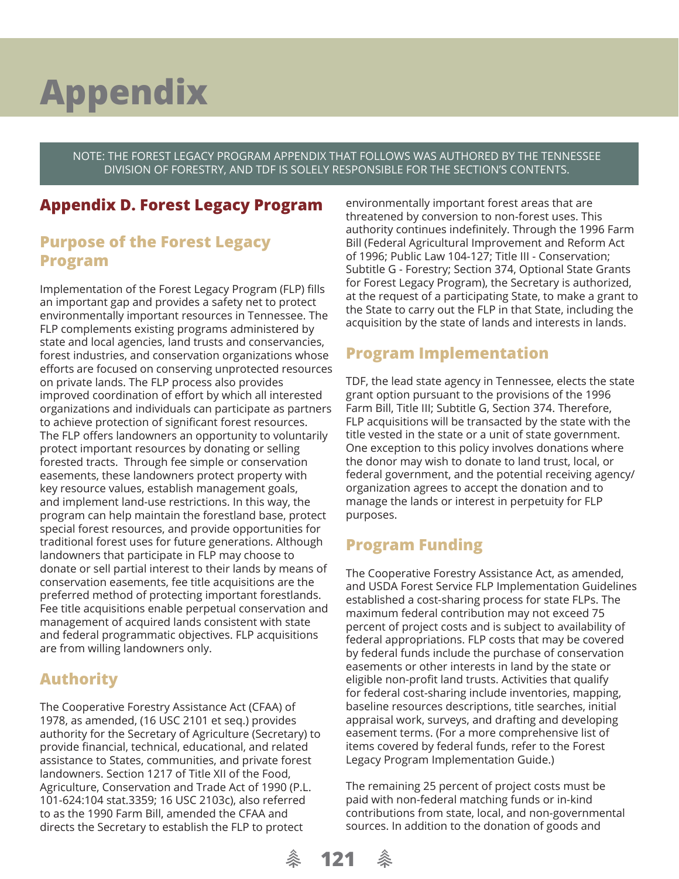NOTE: THE FOREST LEGACY PROGRAM APPENDIX THAT FOLLOWS WAS AUTHORED BY THE TENNESSEE DIVISION OF FORESTRY, AND TDF IS SOLELY RESPONSIBLE FOR THE SECTION'S CONTENTS.

## **Appendix D. Forest Legacy Program**

### **Purpose of the Forest Legacy Program**

Implementation of the Forest Legacy Program (FLP) fills an important gap and provides a safety net to protect environmentally important resources in Tennessee. The FLP complements existing programs administered by state and local agencies, land trusts and conservancies, forest industries, and conservation organizations whose efforts are focused on conserving unprotected resources on private lands. The FLP process also provides improved coordination of effort by which all interested organizations and individuals can participate as partners to achieve protection of significant forest resources. The FLP offers landowners an opportunity to voluntarily protect important resources by donating or selling forested tracts. Through fee simple or conservation easements, these landowners protect property with key resource values, establish management goals, and implement land-use restrictions. In this way, the program can help maintain the forestland base, protect special forest resources, and provide opportunities for traditional forest uses for future generations. Although landowners that participate in FLP may choose to donate or sell partial interest to their lands by means of conservation easements, fee title acquisitions are the preferred method of protecting important forestlands. Fee title acquisitions enable perpetual conservation and management of acquired lands consistent with state and federal programmatic objectives. FLP acquisitions are from willing landowners only.

## **Authority**

The Cooperative Forestry Assistance Act (CFAA) of 1978, as amended, (16 USC 2101 et seq.) provides authority for the Secretary of Agriculture (Secretary) to provide financial, technical, educational, and related assistance to States, communities, and private forest landowners. Section 1217 of Title XII of the Food, Agriculture, Conservation and Trade Act of 1990 (P.L. 101-624:104 stat.3359; 16 USC 2103c), also referred to as the 1990 Farm Bill, amended the CFAA and directs the Secretary to establish the FLP to protect

environmentally important forest areas that are threatened by conversion to non-forest uses. This authority continues indefinitely. Through the 1996 Farm Bill (Federal Agricultural Improvement and Reform Act of 1996; Public Law 104-127; Title III - Conservation; Subtitle G - Forestry; Section 374, Optional State Grants for Forest Legacy Program), the Secretary is authorized, at the request of a participating State, to make a grant to the State to carry out the FLP in that State, including the acquisition by the state of lands and interests in lands.

## **Program Implementation**

TDF, the lead state agency in Tennessee, elects the state grant option pursuant to the provisions of the 1996 Farm Bill, Title III; Subtitle G, Section 374. Therefore, FLP acquisitions will be transacted by the state with the title vested in the state or a unit of state government. One exception to this policy involves donations where the donor may wish to donate to land trust, local, or federal government, and the potential receiving agency/ organization agrees to accept the donation and to manage the lands or interest in perpetuity for FLP purposes.

## **Program Funding**

The Cooperative Forestry Assistance Act, as amended, and USDA Forest Service FLP Implementation Guidelines established a cost-sharing process for state FLPs. The maximum federal contribution may not exceed 75 percent of project costs and is subject to availability of federal appropriations. FLP costs that may be covered by federal funds include the purchase of conservation easements or other interests in land by the state or eligible non-profit land trusts. Activities that qualify for federal cost-sharing include inventories, mapping, baseline resources descriptions, title searches, initial appraisal work, surveys, and drafting and developing easement terms. (For a more comprehensive list of items covered by federal funds, refer to the Forest Legacy Program Implementation Guide.)

The remaining 25 percent of project costs must be paid with non-federal matching funds or in-kind contributions from state, local, and non-governmental sources. In addition to the donation of goods and

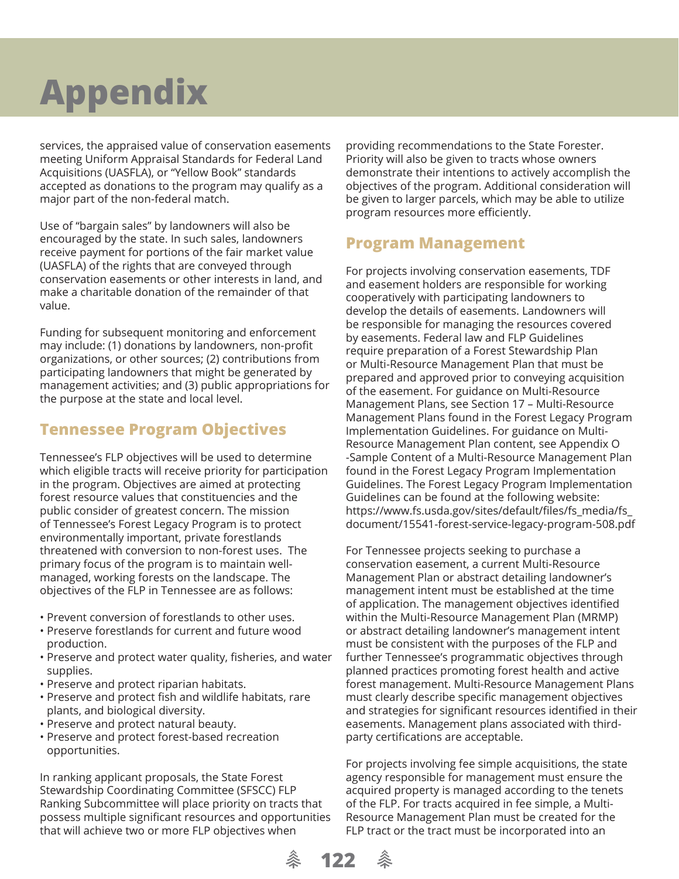services, the appraised value of conservation easements meeting Uniform Appraisal Standards for Federal Land Acquisitions (UASFLA), or "Yellow Book" standards accepted as donations to the program may qualify as a major part of the non-federal match.

Use of "bargain sales" by landowners will also be encouraged by the state. In such sales, landowners receive payment for portions of the fair market value (UASFLA) of the rights that are conveyed through conservation easements or other interests in land, and make a charitable donation of the remainder of that value.

Funding for subsequent monitoring and enforcement may include: (1) donations by landowners, non-profit organizations, or other sources; (2) contributions from participating landowners that might be generated by management activities; and (3) public appropriations for the purpose at the state and local level.

## **Tennessee Program Objectives**

Tennessee's FLP objectives will be used to determine which eligible tracts will receive priority for participation in the program. Objectives are aimed at protecting forest resource values that constituencies and the public consider of greatest concern. The mission of Tennessee's Forest Legacy Program is to protect environmentally important, private forestlands threatened with conversion to non-forest uses. The primary focus of the program is to maintain wellmanaged, working forests on the landscape. The objectives of the FLP in Tennessee are as follows:

- Prevent conversion of forestlands to other uses.
- Preserve forestlands for current and future wood production.
- Preserve and protect water quality, fisheries, and water supplies.
- Preserve and protect riparian habitats.
- Preserve and protect fish and wildlife habitats, rare plants, and biological diversity.
- Preserve and protect natural beauty.
- Preserve and protect forest-based recreation opportunities.

In ranking applicant proposals, the State Forest Stewardship Coordinating Committee (SFSCC) FLP Ranking Subcommittee will place priority on tracts that possess multiple significant resources and opportunities that will achieve two or more FLP objectives when

providing recommendations to the State Forester. Priority will also be given to tracts whose owners demonstrate their intentions to actively accomplish the objectives of the program. Additional consideration will be given to larger parcels, which may be able to utilize program resources more efficiently.

### **Program Management**

For projects involving conservation easements, TDF and easement holders are responsible for working cooperatively with participating landowners to develop the details of easements. Landowners will be responsible for managing the resources covered by easements. Federal law and FLP Guidelines require preparation of a Forest Stewardship Plan or Multi-Resource Management Plan that must be prepared and approved prior to conveying acquisition of the easement. For guidance on Multi-Resource Management Plans, see Section 17 – Multi-Resource Management Plans found in the Forest Legacy Program Implementation Guidelines. For guidance on Multi-Resource Management Plan content, see Appendix O -Sample Content of a Multi-Resource Management Plan found in the Forest Legacy Program Implementation Guidelines. The Forest Legacy Program Implementation Guidelines can be found at the following website: https://www.fs.usda.gov/sites/default/files/fs\_media/fs\_ document/15541-forest-service-legacy-program-508.pdf

For Tennessee projects seeking to purchase a conservation easement, a current Multi-Resource Management Plan or abstract detailing landowner's management intent must be established at the time of application. The management objectives identified within the Multi-Resource Management Plan (MRMP) or abstract detailing landowner's management intent must be consistent with the purposes of the FLP and further Tennessee's programmatic objectives through planned practices promoting forest health and active forest management. Multi-Resource Management Plans must clearly describe specific management objectives and strategies for significant resources identified in their easements. Management plans associated with thirdparty certifications are acceptable.

For projects involving fee simple acquisitions, the state agency responsible for management must ensure the acquired property is managed according to the tenets of the FLP. For tracts acquired in fee simple, a Multi-Resource Management Plan must be created for the FLP tract or the tract must be incorporated into an

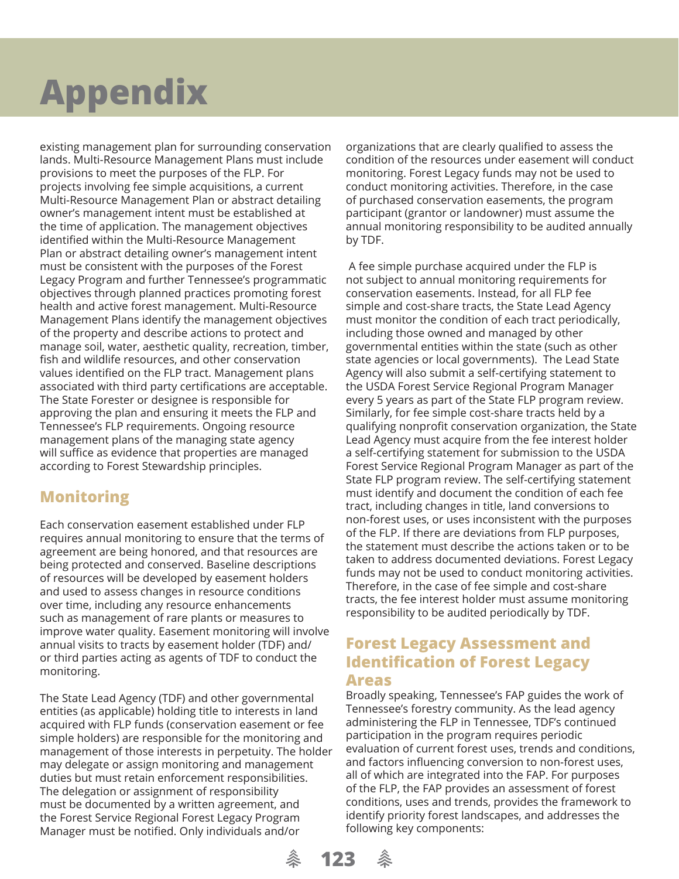existing management plan for surrounding conservation lands. Multi-Resource Management Plans must include provisions to meet the purposes of the FLP. For projects involving fee simple acquisitions, a current Multi-Resource Management Plan or abstract detailing owner's management intent must be established at the time of application. The management objectives identified within the Multi-Resource Management Plan or abstract detailing owner's management intent must be consistent with the purposes of the Forest Legacy Program and further Tennessee's programmatic objectives through planned practices promoting forest health and active forest management. Multi-Resource Management Plans identify the management objectives of the property and describe actions to protect and manage soil, water, aesthetic quality, recreation, timber, fish and wildlife resources, and other conservation values identified on the FLP tract. Management plans associated with third party certifications are acceptable. The State Forester or designee is responsible for approving the plan and ensuring it meets the FLP and Tennessee's FLP requirements. Ongoing resource management plans of the managing state agency will suffice as evidence that properties are managed according to Forest Stewardship principles.

## **Monitoring**

Each conservation easement established under FLP requires annual monitoring to ensure that the terms of agreement are being honored, and that resources are being protected and conserved. Baseline descriptions of resources will be developed by easement holders and used to assess changes in resource conditions over time, including any resource enhancements such as management of rare plants or measures to improve water quality. Easement monitoring will involve annual visits to tracts by easement holder (TDF) and/ or third parties acting as agents of TDF to conduct the monitoring.

The State Lead Agency (TDF) and other governmental entities (as applicable) holding title to interests in land acquired with FLP funds (conservation easement or fee simple holders) are responsible for the monitoring and management of those interests in perpetuity. The holder may delegate or assign monitoring and management duties but must retain enforcement responsibilities. The delegation or assignment of responsibility must be documented by a written agreement, and the Forest Service Regional Forest Legacy Program Manager must be notified. Only individuals and/or

organizations that are clearly qualified to assess the condition of the resources under easement will conduct monitoring. Forest Legacy funds may not be used to conduct monitoring activities. Therefore, in the case of purchased conservation easements, the program participant (grantor or landowner) must assume the annual monitoring responsibility to be audited annually by TDF.

 A fee simple purchase acquired under the FLP is not subject to annual monitoring requirements for conservation easements. Instead, for all FLP fee simple and cost-share tracts, the State Lead Agency must monitor the condition of each tract periodically, including those owned and managed by other governmental entities within the state (such as other state agencies or local governments). The Lead State Agency will also submit a self-certifying statement to the USDA Forest Service Regional Program Manager every 5 years as part of the State FLP program review. Similarly, for fee simple cost-share tracts held by a qualifying nonprofit conservation organization, the State Lead Agency must acquire from the fee interest holder a self-certifying statement for submission to the USDA Forest Service Regional Program Manager as part of the State FLP program review. The self-certifying statement must identify and document the condition of each fee tract, including changes in title, land conversions to non-forest uses, or uses inconsistent with the purposes of the FLP. If there are deviations from FLP purposes, the statement must describe the actions taken or to be taken to address documented deviations. Forest Legacy funds may not be used to conduct monitoring activities. Therefore, in the case of fee simple and cost-share tracts, the fee interest holder must assume monitoring responsibility to be audited periodically by TDF.

### **Forest Legacy Assessment and Identification of Forest Legacy Areas**

Broadly speaking, Tennessee's FAP guides the work of Tennessee's forestry community. As the lead agency administering the FLP in Tennessee, TDF's continued participation in the program requires periodic evaluation of current forest uses, trends and conditions, and factors influencing conversion to non-forest uses, all of which are integrated into the FAP. For purposes of the FLP, the FAP provides an assessment of forest conditions, uses and trends, provides the framework to identify priority forest landscapes, and addresses the following key components:

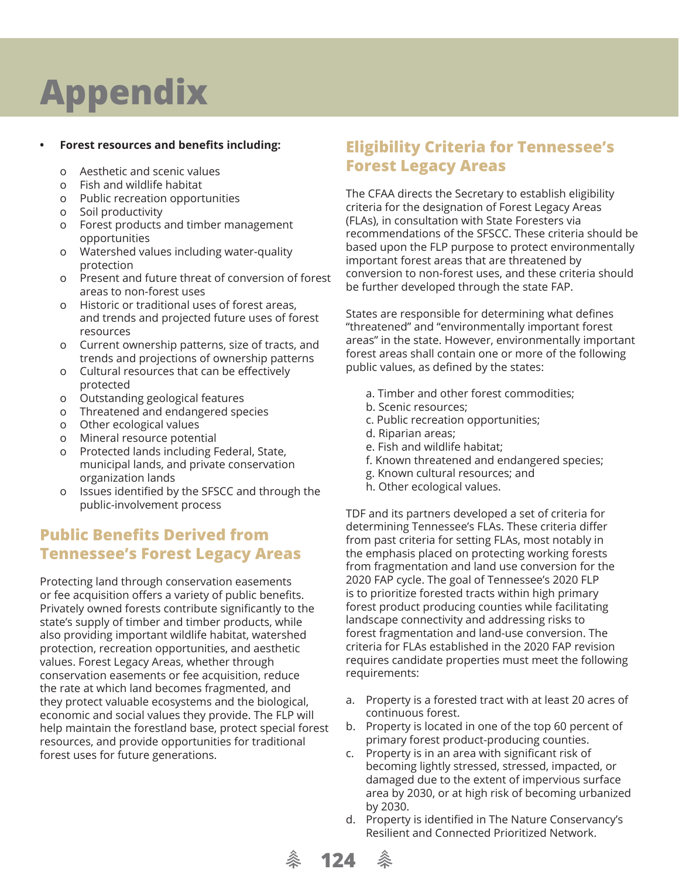### **Forest resources and benefits including:**

- o Aesthetic and scenic values
- o Fish and wildlife habitat
- o Public recreation opportunities
- o Soil productivity
- o Forest products and timber management opportunities
- o Watershed values including water-quality protection
- o Present and future threat of conversion of forest areas to non-forest uses
- o Historic or traditional uses of forest areas, and trends and projected future uses of forest resources
- o Current ownership patterns, size of tracts, and trends and projections of ownership patterns
- o Cultural resources that can be effectively protected
- o Outstanding geological features
- o Threatened and endangered species
- o Other ecological values
- o Mineral resource potential
- o Protected lands including Federal, State, municipal lands, and private conservation organization lands
- o Issues identified by the SFSCC and through the public-involvement process

## **Public Benefits Derived from Tennessee's Forest Legacy Areas**

Protecting land through conservation easements or fee acquisition offers a variety of public benefits. Privately owned forests contribute significantly to the state's supply of timber and timber products, while also providing important wildlife habitat, watershed protection, recreation opportunities, and aesthetic values. Forest Legacy Areas, whether through conservation easements or fee acquisition, reduce the rate at which land becomes fragmented, and they protect valuable ecosystems and the biological, economic and social values they provide. The FLP will help maintain the forestland base, protect special forest resources, and provide opportunities for traditional forest uses for future generations.

## **Eligibility Criteria for Tennessee's Forest Legacy Areas**

The CFAA directs the Secretary to establish eligibility criteria for the designation of Forest Legacy Areas (FLAs), in consultation with State Foresters via recommendations of the SFSCC. These criteria should be based upon the FLP purpose to protect environmentally important forest areas that are threatened by conversion to non-forest uses, and these criteria should be further developed through the state FAP.

States are responsible for determining what defines "threatened" and "environmentally important forest areas" in the state. However, environmentally important forest areas shall contain one or more of the following public values, as defined by the states:

- a. Timber and other forest commodities;
- b. Scenic resources:
- c. Public recreation opportunities;
- d. Riparian areas;
- e. Fish and wildlife habitat;
- f. Known threatened and endangered species;
- g. Known cultural resources; and
- h. Other ecological values.

TDF and its partners developed a set of criteria for determining Tennessee's FLAs. These criteria differ from past criteria for setting FLAs, most notably in the emphasis placed on protecting working forests from fragmentation and land use conversion for the 2020 FAP cycle. The goal of Tennessee's 2020 FLP is to prioritize forested tracts within high primary forest product producing counties while facilitating landscape connectivity and addressing risks to forest fragmentation and land-use conversion. The criteria for FLAs established in the 2020 FAP revision requires candidate properties must meet the following requirements:

- a. Property is a forested tract with at least 20 acres of continuous forest.
- b. Property is located in one of the top 60 percent of primary forest product-producing counties.
- c. Property is in an area with significant risk of becoming lightly stressed, stressed, impacted, or damaged due to the extent of impervious surface area by 2030, or at high risk of becoming urbanized by 2030.
- d. Property is identified in The Nature Conservancy's Resilient and Connected Prioritized Network.

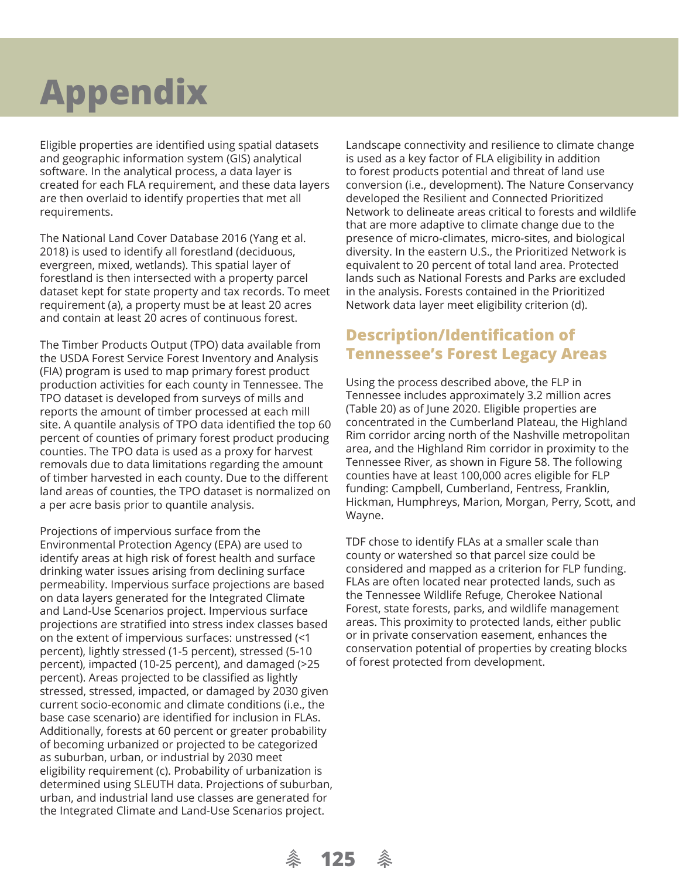Eligible properties are identified using spatial datasets and geographic information system (GIS) analytical software. In the analytical process, a data layer is created for each FLA requirement, and these data layers are then overlaid to identify properties that met all requirements.

The National Land Cover Database 2016 (Yang et al. 2018) is used to identify all forestland (deciduous, evergreen, mixed, wetlands). This spatial layer of forestland is then intersected with a property parcel dataset kept for state property and tax records. To meet requirement (a), a property must be at least 20 acres and contain at least 20 acres of continuous forest.

The Timber Products Output (TPO) data available from the USDA Forest Service Forest Inventory and Analysis (FIA) program is used to map primary forest product production activities for each county in Tennessee. The TPO dataset is developed from surveys of mills and reports the amount of timber processed at each mill site. A quantile analysis of TPO data identified the top 60 percent of counties of primary forest product producing counties. The TPO data is used as a proxy for harvest removals due to data limitations regarding the amount of timber harvested in each county. Due to the different land areas of counties, the TPO dataset is normalized on a per acre basis prior to quantile analysis.

Projections of impervious surface from the Environmental Protection Agency (EPA) are used to identify areas at high risk of forest health and surface drinking water issues arising from declining surface permeability. Impervious surface projections are based on data layers generated for the Integrated Climate and Land-Use Scenarios project. Impervious surface projections are stratified into stress index classes based on the extent of impervious surfaces: unstressed (<1 percent), lightly stressed (1-5 percent), stressed (5-10 percent), impacted (10-25 percent), and damaged (>25 percent). Areas projected to be classified as lightly stressed, stressed, impacted, or damaged by 2030 given current socio-economic and climate conditions (i.e., the base case scenario) are identified for inclusion in FLAs. Additionally, forests at 60 percent or greater probability of becoming urbanized or projected to be categorized as suburban, urban, or industrial by 2030 meet eligibility requirement (c). Probability of urbanization is determined using SLEUTH data. Projections of suburban, urban, and industrial land use classes are generated for the Integrated Climate and Land-Use Scenarios project.

**《 125** 

Landscape connectivity and resilience to climate change is used as a key factor of FLA eligibility in addition to forest products potential and threat of land use conversion (i.e., development). The Nature Conservancy developed the Resilient and Connected Prioritized Network to delineate areas critical to forests and wildlife that are more adaptive to climate change due to the presence of micro-climates, micro-sites, and biological diversity. In the eastern U.S., the Prioritized Network is equivalent to 20 percent of total land area. Protected lands such as National Forests and Parks are excluded in the analysis. Forests contained in the Prioritized Network data layer meet eligibility criterion (d).

### **Description/Identification of Tennessee's Forest Legacy Areas**

Using the process described above, the FLP in Tennessee includes approximately 3.2 million acres (Table 20) as of June 2020. Eligible properties are concentrated in the Cumberland Plateau, the Highland Rim corridor arcing north of the Nashville metropolitan area, and the Highland Rim corridor in proximity to the Tennessee River, as shown in Figure 58. The following counties have at least 100,000 acres eligible for FLP funding: Campbell, Cumberland, Fentress, Franklin, Hickman, Humphreys, Marion, Morgan, Perry, Scott, and Wayne.

TDF chose to identify FLAs at a smaller scale than county or watershed so that parcel size could be considered and mapped as a criterion for FLP funding. FLAs are often located near protected lands, such as the Tennessee Wildlife Refuge, Cherokee National Forest, state forests, parks, and wildlife management areas. This proximity to protected lands, either public or in private conservation easement, enhances the conservation potential of properties by creating blocks of forest protected from development.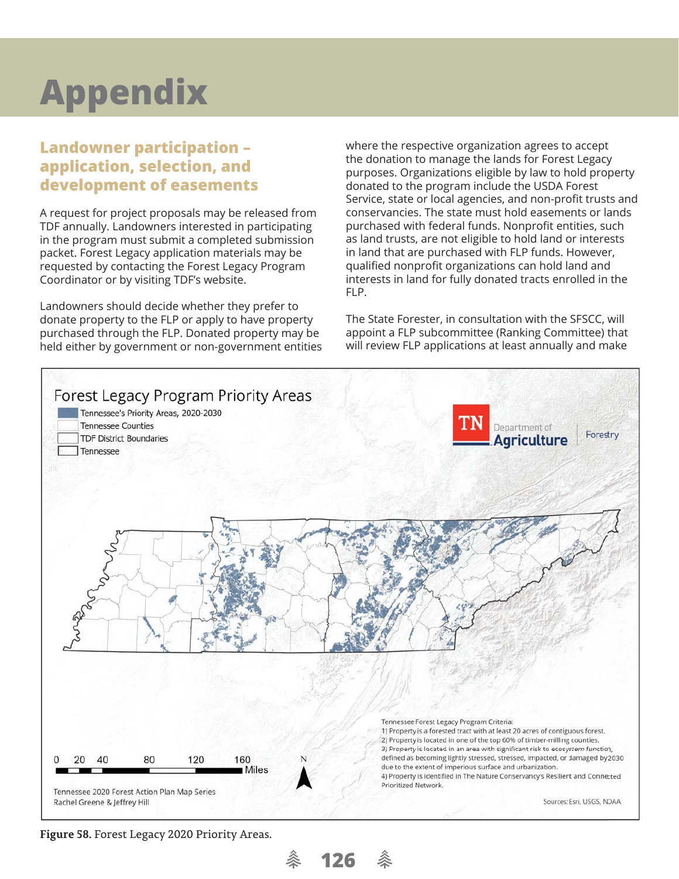## **Landowner participation – application, selection, and development of easements**

A request for project proposals may be released from TDF annually. Landowners interested in participating in the program must submit a completed submission packet. Forest Legacy application materials may be requested by contacting the Forest Legacy Program Coordinator or by visiting TDF's website.

Landowners should decide whether they prefer to donate property to the FLP or apply to have property purchased through the FLP. Donated property may be held either by government or non-government entities where the respective organization agrees to accept the donation to manage the lands for Forest Legacy purposes. Organizations eligible by law to hold property donated to the program include the USDA Forest Service, state or local agencies, and non-profit trusts and conservancies. The state must hold easements or lands purchased with federal funds. Nonprofit entities, such as land trusts, are not eligible to hold land or interests in land that are purchased with FLP funds. However, qualified nonprofit organizations can hold land and interests in land for fully donated tracts enrolled in the FLP.

The State Forester, in consultation with the SFSCC, will appoint a FLP subcommittee (Ranking Committee) that will review FLP applications at least annually and make



**Figure 58.** Forest Legacy 2020 Priority Areas.

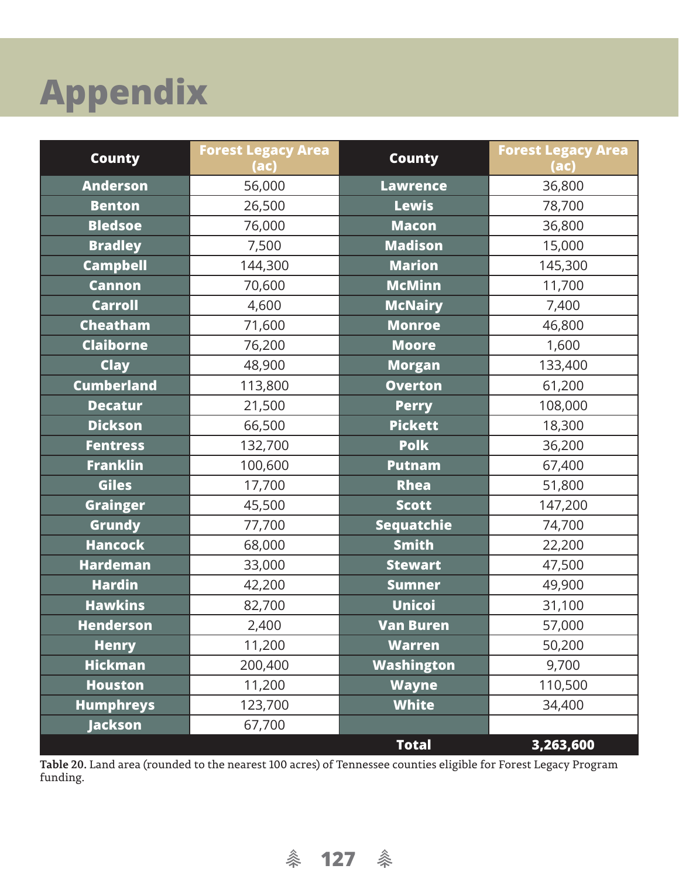| <b>County</b>     | <b>Forest Legacy Area</b><br>(ac) | <b>County</b>     | <b>Forest Legacy Area</b><br>(ac) |
|-------------------|-----------------------------------|-------------------|-----------------------------------|
| <b>Anderson</b>   | 56,000                            | <b>Lawrence</b>   | 36,800                            |
| <b>Benton</b>     | 26,500                            | <b>Lewis</b>      | 78,700                            |
| <b>Bledsoe</b>    | 76,000                            | <b>Macon</b>      | 36,800                            |
| <b>Bradley</b>    | 7,500                             | <b>Madison</b>    | 15,000                            |
| <b>Campbell</b>   | 144,300                           | <b>Marion</b>     | 145,300                           |
| <b>Cannon</b>     | 70,600                            | <b>McMinn</b>     | 11,700                            |
| <b>Carroll</b>    | 4,600                             | <b>McNairy</b>    | 7,400                             |
| <b>Cheatham</b>   | 71,600                            | <b>Monroe</b>     | 46,800                            |
| <b>Claiborne</b>  | 76,200                            | <b>Moore</b>      | 1,600                             |
| <b>Clay</b>       | 48,900                            | <b>Morgan</b>     | 133,400                           |
| <b>Cumberland</b> | 113,800                           | <b>Overton</b>    | 61,200                            |
| <b>Decatur</b>    | 21,500                            | <b>Perry</b>      | 108,000                           |
| <b>Dickson</b>    | 66,500                            | <b>Pickett</b>    | 18,300                            |
| <b>Fentress</b>   | 132,700                           | <b>Polk</b>       | 36,200                            |
| <b>Franklin</b>   | 100,600                           | <b>Putnam</b>     | 67,400                            |
| <b>Giles</b>      | 17,700                            | <b>Rhea</b>       | 51,800                            |
| <b>Grainger</b>   | 45,500                            | <b>Scott</b>      | 147,200                           |
| <b>Grundy</b>     | 77,700                            | <b>Sequatchie</b> | 74,700                            |
| <b>Hancock</b>    | 68,000                            | <b>Smith</b>      | 22,200                            |
| <b>Hardeman</b>   | 33,000                            | <b>Stewart</b>    | 47,500                            |
| <b>Hardin</b>     | 42,200                            | <b>Sumner</b>     | 49,900                            |
| <b>Hawkins</b>    | 82,700                            | <b>Unicoi</b>     | 31,100                            |
| <b>Henderson</b>  | 2,400                             | <b>Van Buren</b>  | 57,000                            |
| <b>Henry</b>      | 11,200                            | <b>Warren</b>     | 50,200                            |
| <b>Hickman</b>    | 200,400                           | Washington        | 9,700                             |
| <b>Houston</b>    | 11,200                            | <b>Wayne</b>      | 110,500                           |
| <b>Humphreys</b>  | 123,700                           | <b>White</b>      | 34,400                            |
| <b>Jackson</b>    | 67,700                            |                   |                                   |
|                   |                                   | <b>Total</b>      | 3,263,600                         |

**Table 20.** Land area (rounded to the nearest 100 acres) of Tennessee counties eligible for Forest Legacy Program funding.

条 127 条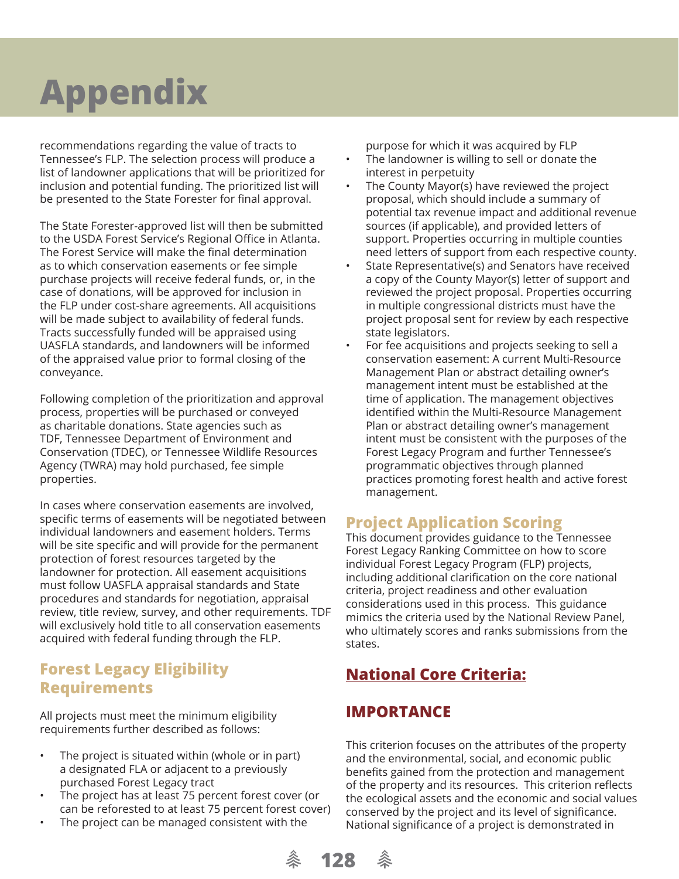recommendations regarding the value of tracts to Tennessee's FLP. The selection process will produce a list of landowner applications that will be prioritized for inclusion and potential funding. The prioritized list will be presented to the State Forester for final approval.

The State Forester-approved list will then be submitted to the USDA Forest Service's Regional Office in Atlanta. The Forest Service will make the final determination as to which conservation easements or fee simple purchase projects will receive federal funds, or, in the case of donations, will be approved for inclusion in the FLP under cost-share agreements. All acquisitions will be made subject to availability of federal funds. Tracts successfully funded will be appraised using UASFLA standards, and landowners will be informed of the appraised value prior to formal closing of the conveyance.

Following completion of the prioritization and approval process, properties will be purchased or conveyed as charitable donations. State agencies such as TDF, Tennessee Department of Environment and Conservation (TDEC), or Tennessee Wildlife Resources Agency (TWRA) may hold purchased, fee simple properties.

In cases where conservation easements are involved, specific terms of easements will be negotiated between individual landowners and easement holders. Terms will be site specific and will provide for the permanent protection of forest resources targeted by the landowner for protection. All easement acquisitions must follow UASFLA appraisal standards and State procedures and standards for negotiation, appraisal review, title review, survey, and other requirements. TDF will exclusively hold title to all conservation easements acquired with federal funding through the FLP.

## **Forest Legacy Eligibility Requirements**

All projects must meet the minimum eligibility requirements further described as follows:

- The project is situated within (whole or in part) a designated FLA or adjacent to a previously purchased Forest Legacy tract
- The project has at least 75 percent forest cover (or can be reforested to at least 75 percent forest cover)
- The project can be managed consistent with the

purpose for which it was acquired by FLP The landowner is willing to sell or donate the interest in perpetuity

- The County Mayor(s) have reviewed the project proposal, which should include a summary of potential tax revenue impact and additional revenue sources (if applicable), and provided letters of support. Properties occurring in multiple counties need letters of support from each respective county.
- State Representative(s) and Senators have received a copy of the County Mayor(s) letter of support and reviewed the project proposal. Properties occurring in multiple congressional districts must have the project proposal sent for review by each respective state legislators.
- For fee acquisitions and projects seeking to sell a conservation easement: A current Multi-Resource Management Plan or abstract detailing owner's management intent must be established at the time of application. The management objectives identified within the Multi-Resource Management Plan or abstract detailing owner's management intent must be consistent with the purposes of the Forest Legacy Program and further Tennessee's programmatic objectives through planned practices promoting forest health and active forest management.

## **Project Application Scoring**

This document provides guidance to the Tennessee Forest Legacy Ranking Committee on how to score individual Forest Legacy Program (FLP) projects, including additional clarification on the core national criteria, project readiness and other evaluation considerations used in this process. This guidance mimics the criteria used by the National Review Panel, who ultimately scores and ranks submissions from the states.

## **National Core Criteria:**

## **IMPORTANCE**

This criterion focuses on the attributes of the property and the environmental, social, and economic public benefits gained from the protection and management of the property and its resources. This criterion reflects the ecological assets and the economic and social values conserved by the project and its level of significance. National significance of a project is demonstrated in

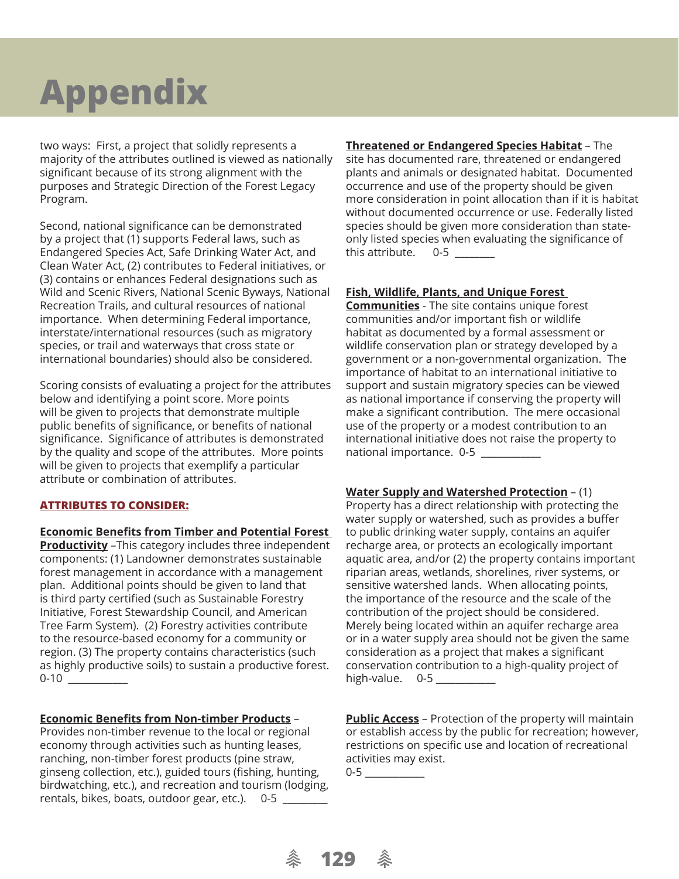two ways: First, a project that solidly represents a majority of the attributes outlined is viewed as nationally significant because of its strong alignment with the purposes and Strategic Direction of the Forest Legacy Program.

Second, national significance can be demonstrated by a project that (1) supports Federal laws, such as Endangered Species Act, Safe Drinking Water Act, and Clean Water Act, (2) contributes to Federal initiatives, or (3) contains or enhances Federal designations such as Wild and Scenic Rivers, National Scenic Byways, National Recreation Trails, and cultural resources of national importance. When determining Federal importance, interstate/international resources (such as migratory species, or trail and waterways that cross state or international boundaries) should also be considered.

Scoring consists of evaluating a project for the attributes below and identifying a point score. More points will be given to projects that demonstrate multiple public benefits of significance, or benefits of national significance. Significance of attributes is demonstrated by the quality and scope of the attributes. More points will be given to projects that exemplify a particular attribute or combination of attributes.

#### **ATTRIBUTES TO CONSIDER:**

#### **Economic Benefits from Timber and Potential Forest**

**Productivity** –This category includes three independent components: (1) Landowner demonstrates sustainable forest management in accordance with a management plan. Additional points should be given to land that is third party certified (such as Sustainable Forestry Initiative, Forest Stewardship Council, and American Tree Farm System). (2) Forestry activities contribute to the resource-based economy for a community or region. (3) The property contains characteristics (such as highly productive soils) to sustain a productive forest. 0-10

#### **Economic Benefits from Non-timber Products -**

Provides non-timber revenue to the local or regional economy through activities such as hunting leases, ranching, non-timber forest products (pine straw, ginseng collection, etc.), guided tours (fishing, hunting, birdwatching, etc.), and recreation and tourism (lodging, rentals, bikes, boats, outdoor gear, etc.). 0-5

**Threatened or Endangered Species Habitat** – The site has documented rare, threatened or endangered plants and animals or designated habitat. Documented occurrence and use of the property should be given more consideration in point allocation than if it is habitat without documented occurrence or use. Federally listed species should be given more consideration than stateonly listed species when evaluating the significance of WKLVDWWULEXWHBBBBBBBB

#### **Fish, Wildlife, Plants, and Unique Forest**

**Communities** - The site contains unique forest communities and/or important fish or wildlife habitat as documented by a formal assessment or wildlife conservation plan or strategy developed by a government or a non-governmental organization. The importance of habitat to an international initiative to support and sustain migratory species can be viewed as national importance if conserving the property will make a significant contribution. The mere occasional use of the property or a modest contribution to an international initiative does not raise the property to national importance. 0-5

**Water Supply and Watershed Protection** – (1) Property has a direct relationship with protecting the water supply or watershed, such as provides a buffer to public drinking water supply, contains an aquifer recharge area, or protects an ecologically important aquatic area, and/or (2) the property contains important riparian areas, wetlands, shorelines, river systems, or sensitive watershed lands. When allocating points, the importance of the resource and the scale of the contribution of the project should be considered. Merely being located within an aquifer recharge area or in a water supply area should not be given the same consideration as a project that makes a significant conservation contribution to a high-quality project of high-value. 0-5

**Public Access** – Protection of the property will maintain or establish access by the public for recreation; however, restrictions on specific use and location of recreational activities may exist.

0-5

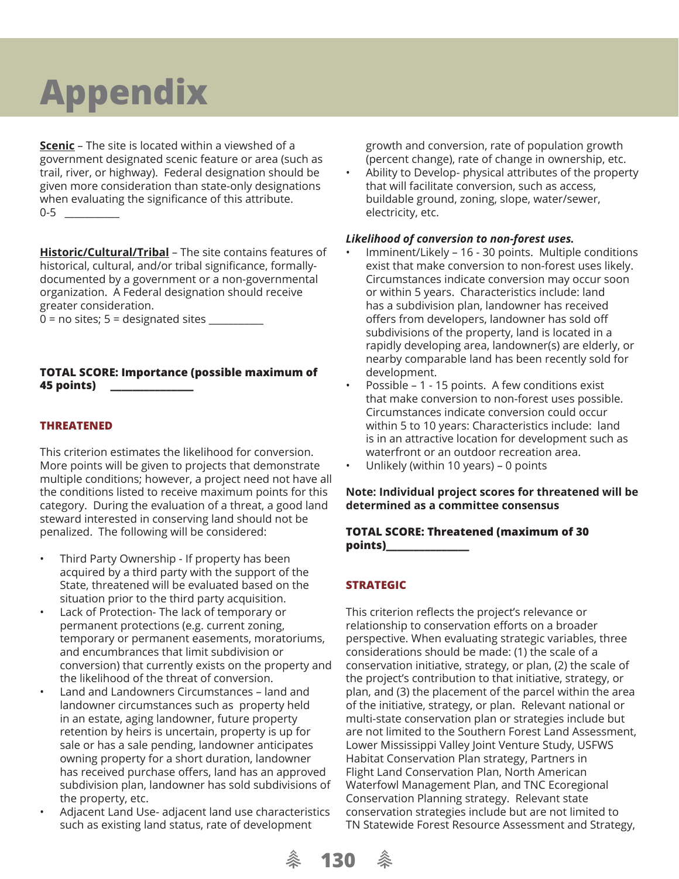**Scenic** – The site is located within a viewshed of a government designated scenic feature or area (such as trail, river, or highway). Federal designation should be given more consideration than state-only designations when evaluating the significance of this attribute.  $0-5$ 

**Historic/Cultural/Tribal - The site contains features of** historical, cultural, and/or tribal significance, formallydocumented by a government or a non-governmental organization. A Federal designation should receive greater consideration.

 $0 =$  no sites;  $5 =$  designated sites

#### **TOTAL SCORE: Importance (possible maximum of 45 points) \_\_\_\_\_\_\_\_\_\_\_\_\_\_\_**

### **THREATENED**

This criterion estimates the likelihood for conversion. More points will be given to projects that demonstrate multiple conditions; however, a project need not have all the conditions listed to receive maximum points for this category. During the evaluation of a threat, a good land steward interested in conserving land should not be penalized. The following will be considered:

- Third Party Ownership If property has been acquired by a third party with the support of the State, threatened will be evaluated based on the situation prior to the third party acquisition.
- Lack of Protection- The lack of temporary or permanent protections (e.g. current zoning, temporary or permanent easements, moratoriums, and encumbrances that limit subdivision or conversion) that currently exists on the property and the likelihood of the threat of conversion.
- Land and Landowners Circumstances land and landowner circumstances such as property held in an estate, aging landowner, future property retention by heirs is uncertain, property is up for sale or has a sale pending, landowner anticipates owning property for a short duration, landowner has received purchase offers, land has an approved subdivision plan, landowner has sold subdivisions of the property, etc.
- Adjacent Land Use- adjacent land use characteristics such as existing land status, rate of development

growth and conversion, rate of population growth (percent change), rate of change in ownership, etc.

• Ability to Develop- physical attributes of the property that will facilitate conversion, such as access, buildable ground, zoning, slope, water/sewer, electricity, etc.

#### *Likelihood of conversion to non-forest uses.*

- Imminent/Likely 16 30 points. Multiple conditions exist that make conversion to non-forest uses likely. Circumstances indicate conversion may occur soon or within 5 years. Characteristics include: land has a subdivision plan, landowner has received offers from developers, landowner has sold off subdivisions of the property, land is located in a rapidly developing area, landowner(s) are elderly, or nearby comparable land has been recently sold for development.
- Possible 1 15 points. A few conditions exist that make conversion to non-forest uses possible. Circumstances indicate conversion could occur within 5 to 10 years: Characteristics include: land is in an attractive location for development such as waterfront or an outdoor recreation area.
- Unlikely (within 10 years) 0 points

#### **Note: Individual project scores for threatened will be determined as a committee consensus**

#### **TOTAL SCORE: Threatened (maximum of 30 points)\_\_\_\_\_\_\_\_\_\_\_\_\_\_\_**

### **STRATEGIC**

This criterion reflects the project's relevance or relationship to conservation efforts on a broader perspective. When evaluating strategic variables, three considerations should be made: (1) the scale of a conservation initiative, strategy, or plan, (2) the scale of the project's contribution to that initiative, strategy, or plan, and (3) the placement of the parcel within the area of the initiative, strategy, or plan. Relevant national or multi-state conservation plan or strategies include but are not limited to the Southern Forest Land Assessment, Lower Mississippi Valley Joint Venture Study, USFWS Habitat Conservation Plan strategy, Partners in Flight Land Conservation Plan, North American Waterfowl Management Plan, and TNC Ecoregional Conservation Planning strategy. Relevant state conservation strategies include but are not limited to TN Statewide Forest Resource Assessment and Strategy,